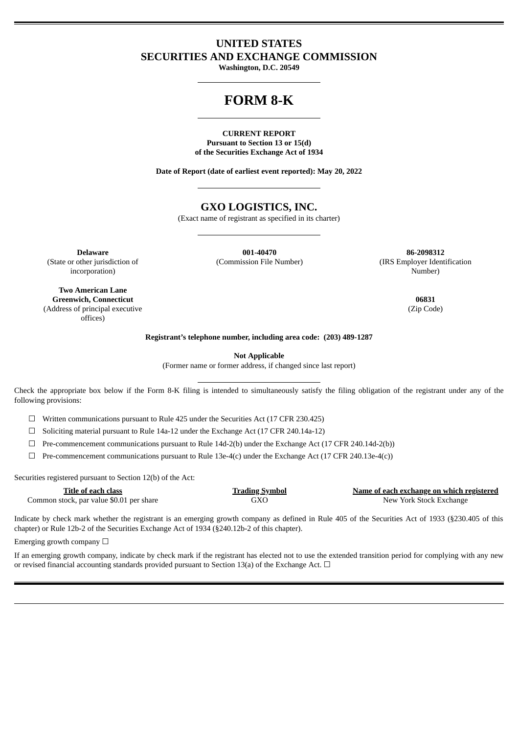# **UNITED STATES SECURITIES AND EXCHANGE COMMISSION**

**Washington, D.C. 20549**

# **FORM 8-K**

### **CURRENT REPORT Pursuant to Section 13 or 15(d) of the Securities Exchange Act of 1934**

**Date of Report (date of earliest event reported): May 20, 2022**

# **GXO LOGISTICS, INC.**

(Exact name of registrant as specified in its charter)

(State or other jurisdiction of incorporation)

**Delaware 001-40470 86-2098312**

(Commission File Number) (IRS Employer Identification Number)

**Two American Lane Greenwich, Connecticut 06831** (Address of principal executive offices)

(Zip Code)

**Registrant's telephone number, including area code: (203) 489-1287**

**Not Applicable**

(Former name or former address, if changed since last report)

Check the appropriate box below if the Form 8-K filing is intended to simultaneously satisfy the filing obligation of the registrant under any of the following provisions:

☐ Written communications pursuant to Rule 425 under the Securities Act (17 CFR 230.425)

☐ Soliciting material pursuant to Rule 14a-12 under the Exchange Act (17 CFR 240.14a-12)

 $\Box$  Pre-commencement communications pursuant to Rule 14d-2(b) under the Exchange Act (17 CFR 240.14d-2(b))

 $\Box$  Pre-commencement communications pursuant to Rule 13e-4(c) under the Exchange Act (17 CFR 240.13e-4(c))

Securities registered pursuant to Section 12(b) of the Act:

| Title of each class                      | <b>Trading Symbol</b> | Name of each exchange on which registered |
|------------------------------------------|-----------------------|-------------------------------------------|
| Common stock, par value \$0.01 per share | GXO                   | New York Stock Exchange                   |

Indicate by check mark whether the registrant is an emerging growth company as defined in Rule 405 of the Securities Act of 1933 (§230.405 of this chapter) or Rule 12b-2 of the Securities Exchange Act of 1934 (§240.12b-2 of this chapter).

Emerging growth company  $\Box$ 

If an emerging growth company, indicate by check mark if the registrant has elected not to use the extended transition period for complying with any new or revised financial accounting standards provided pursuant to Section 13(a) of the Exchange Act.  $\Box$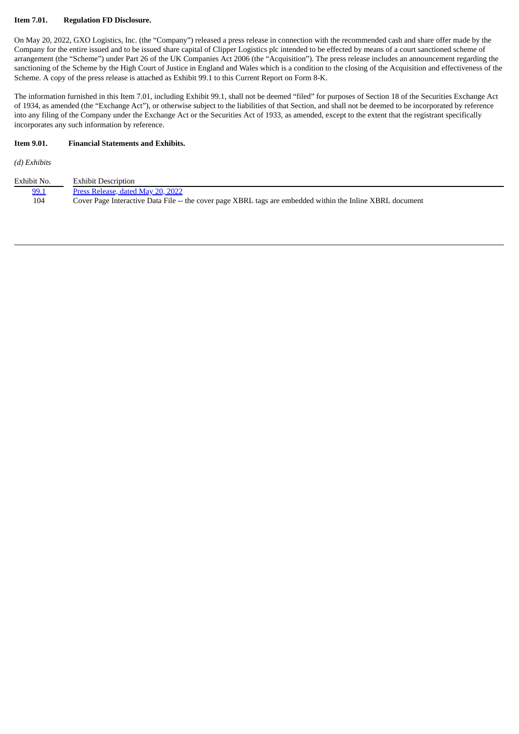## **Item 7.01. Regulation FD Disclosure.**

On May 20, 2022, GXO Logistics, Inc. (the "Company") released a press release in connection with the recommended cash and share offer made by the Company for the entire issued and to be issued share capital of Clipper Logistics plc intended to be effected by means of a court sanctioned scheme of arrangement (the "Scheme") under Part 26 of the UK Companies Act 2006 (the "Acquisition"). The press release includes an announcement regarding the sanctioning of the Scheme by the High Court of Justice in England and Wales which is a condition to the closing of the Acquisition and effectiveness of the Scheme. A copy of the press release is attached as Exhibit 99.1 to this Current Report on Form 8-K.

The information furnished in this Item 7.01, including Exhibit 99.1, shall not be deemed "filed" for purposes of Section 18 of the Securities Exchange Act of 1934, as amended (the "Exchange Act"), or otherwise subject to the liabilities of that Section, and shall not be deemed to be incorporated by reference into any filing of the Company under the Exchange Act or the Securities Act of 1933, as amended, except to the extent that the registrant specifically incorporates any such information by reference.

## **Item 9.01. Financial Statements and Exhibits.**

*(d) Exhibits*

| Exhibit No. | <b>Exhibit Description</b>                                                                                |
|-------------|-----------------------------------------------------------------------------------------------------------|
| 99.1        | Press Release, dated May 20, 2022                                                                         |
| 104         | Cover Page Interactive Data File -- the cover page XBRL tags are embedded within the Inline XBRL document |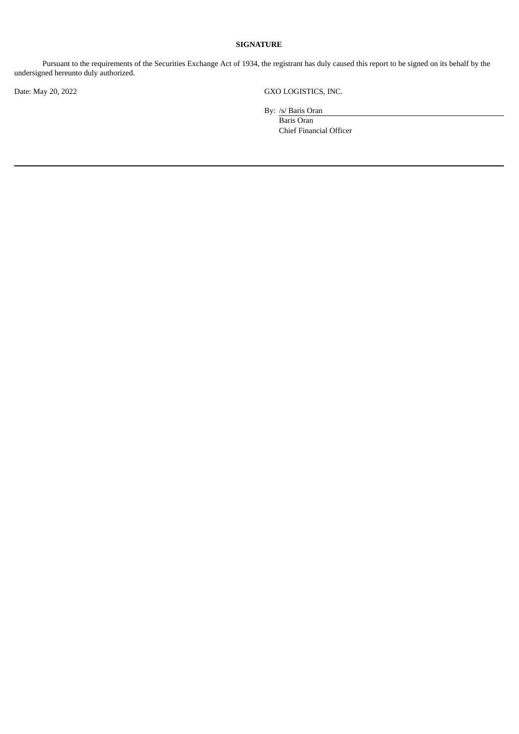# **SIGNATURE**

Pursuant to the requirements of the Securities Exchange Act of 1934, the registrant has duly caused this report to be signed on its behalf by the undersigned hereunto duly authorized.

Date: May 20, 2022 GXO LOGISTICS, INC.

By: /s/ Baris Oran

Baris Oran Chief Financial Officer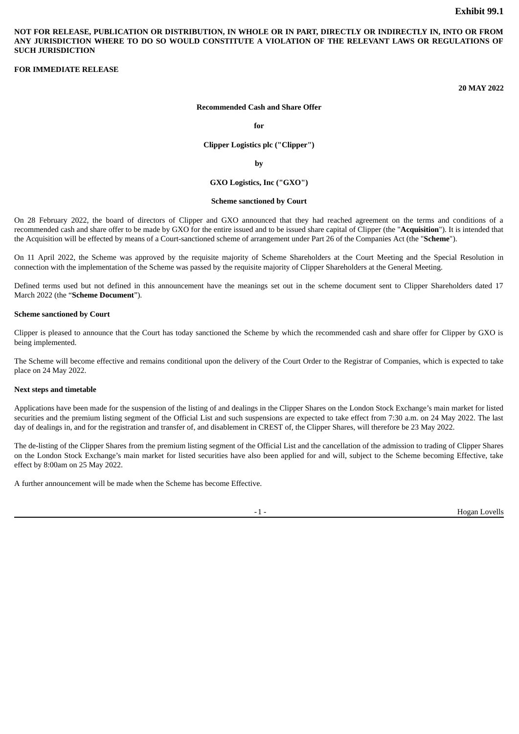<span id="page-3-0"></span>NOT FOR RELEASE, PUBLICATION OR DISTRIBUTION, IN WHOLE OR IN PART, DIRECTLY OR INDIRECTLY IN, INTO OR FROM **ANY JURISDICTION WHERE TO DO SO WOULD CONSTITUTE A VIOLATION OF THE RELEVANT LAWS OR REGULATIONS OF SUCH JURISDICTION**

### **FOR IMMEDIATE RELEASE**

**20 MAY 2022**

### **Recommended Cash and Share Offer**

**for**

**Clipper Logistics plc ("Clipper")**

**by**

### **GXO Logistics, Inc ("GXO")**

#### **Scheme sanctioned by Court**

On 28 February 2022, the board of directors of Clipper and GXO announced that they had reached agreement on the terms and conditions of a recommended cash and share offer to be made by GXO for the entire issued and to be issued share capital of Clipper (the "**Acquisition**"). It is intended that the Acquisition will be effected by means of a Court-sanctioned scheme of arrangement under Part 26 of the Companies Act (the "**Scheme**").

On 11 April 2022, the Scheme was approved by the requisite majority of Scheme Shareholders at the Court Meeting and the Special Resolution in connection with the implementation of the Scheme was passed by the requisite majority of Clipper Shareholders at the General Meeting.

Defined terms used but not defined in this announcement have the meanings set out in the scheme document sent to Clipper Shareholders dated 17 March 2022 (the "**Scheme Document**").

#### **Scheme sanctioned by Court**

Clipper is pleased to announce that the Court has today sanctioned the Scheme by which the recommended cash and share offer for Clipper by GXO is being implemented.

The Scheme will become effective and remains conditional upon the delivery of the Court Order to the Registrar of Companies, which is expected to take place on 24 May 2022.

### **Next steps and timetable**

Applications have been made for the suspension of the listing of and dealings in the Clipper Shares on the London Stock Exchange's main market for listed securities and the premium listing segment of the Official List and such suspensions are expected to take effect from 7:30 a.m. on 24 May 2022. The last day of dealings in, and for the registration and transfer of, and disablement in CREST of, the Clipper Shares, will therefore be 23 May 2022.

The de-listing of the Clipper Shares from the premium listing segment of the Official List and the cancellation of the admission to trading of Clipper Shares on the London Stock Exchange's main market for listed securities have also been applied for and will, subject to the Scheme becoming Effective, take effect by 8:00am on 25 May 2022.

A further announcement will be made when the Scheme has become Effective.

-1 - Hogan Lovells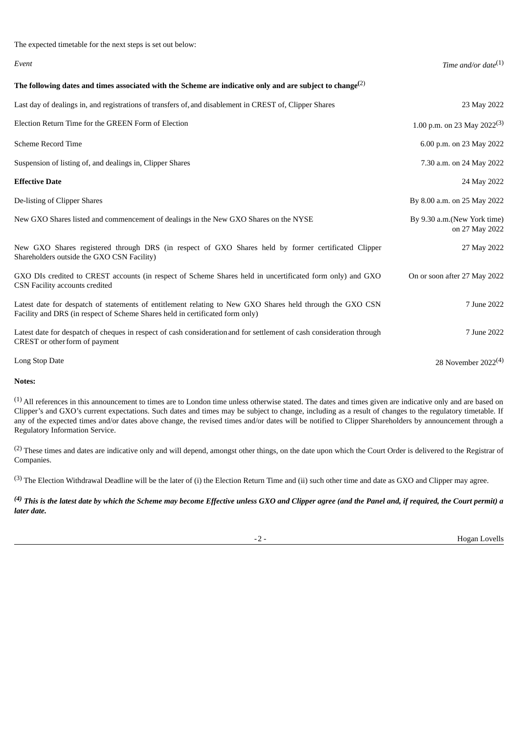| The expected timetable for the next steps is set out below:                                                                                                                                |                                               |
|--------------------------------------------------------------------------------------------------------------------------------------------------------------------------------------------|-----------------------------------------------|
| Event                                                                                                                                                                                      | Time and/or date $^{(1)}$                     |
| The following dates and times associated with the Scheme are indicative only and are subject to change <sup>(2)</sup>                                                                      |                                               |
| Last day of dealings in, and registrations of transfers of, and disablement in CREST of, Clipper Shares                                                                                    | 23 May 2022                                   |
| Election Return Time for the GREEN Form of Election                                                                                                                                        | 1.00 p.m. on 23 May 2022 <sup>(3)</sup>       |
| <b>Scheme Record Time</b>                                                                                                                                                                  | 6.00 p.m. on 23 May 2022                      |
| Suspension of listing of, and dealings in, Clipper Shares                                                                                                                                  | 7.30 a.m. on 24 May 2022                      |
| <b>Effective Date</b>                                                                                                                                                                      | 24 May 2022                                   |
| De-listing of Clipper Shares                                                                                                                                                               | By 8.00 a.m. on 25 May 2022                   |
| New GXO Shares listed and commencement of dealings in the New GXO Shares on the NYSE                                                                                                       | By 9.30 a.m.(New York time)<br>on 27 May 2022 |
| New GXO Shares registered through DRS (in respect of GXO Shares held by former certificated Clipper<br>Shareholders outside the GXO CSN Facility)                                          | 27 May 2022                                   |
| GXO DIs credited to CREST accounts (in respect of Scheme Shares held in uncertificated form only) and GXO<br>CSN Facility accounts credited                                                | On or soon after 27 May 2022                  |
| Latest date for despatch of statements of entitlement relating to New GXO Shares held through the GXO CSN<br>Facility and DRS (in respect of Scheme Shares held in certificated form only) | 7 June 2022                                   |
| Latest date for despatch of cheques in respect of cash consideration and for settlement of cash consideration through<br>CREST or other form of payment                                    | 7 June 2022                                   |
| Long Stop Date                                                                                                                                                                             | 28 November 2022 <sup>(4)</sup>               |

# **Notes:**

(1) All references in this announcement to times are to London time unless otherwise stated. The dates and times given are indicative only and are based on Clipper's and GXO's current expectations. Such dates and times may be subject to change, including as a result of changes to the regulatory timetable. If any of the expected times and/or dates above change, the revised times and/or dates will be notified to Clipper Shareholders by announcement through a Regulatory Information Service.

<sup>(2)</sup> These times and dates are indicative only and will depend, amongst other things, on the date upon which the Court Order is delivered to the Registrar of Companies.

<sup>(3)</sup> The Election Withdrawal Deadline will be the later of (i) the Election Return Time and (ii) such other time and date as GXO and Clipper may agree.

# $^{(4)}$  This is the latest date by which the Scheme may become Effective unless GXO and Clipper agree (and the Panel and, if required, the Court permit) a *later date.*

-2 - Hogan Lovells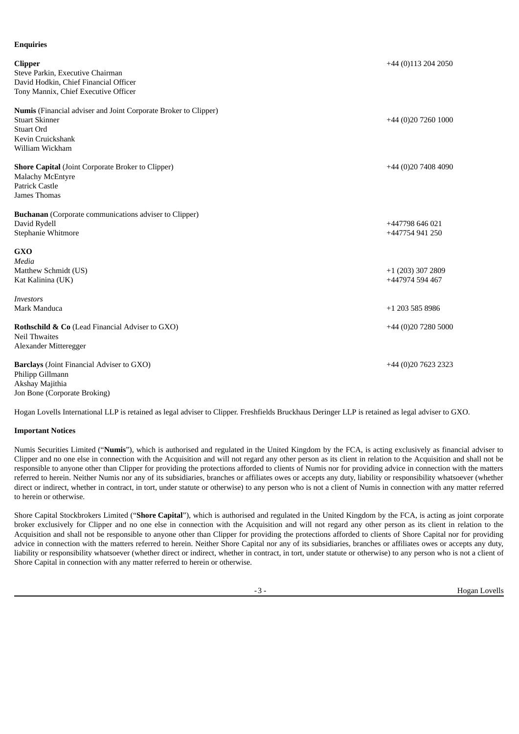| <b>Enquiries</b>                                                                                                                    |                                        |
|-------------------------------------------------------------------------------------------------------------------------------------|----------------------------------------|
| <b>Clipper</b><br>Steve Parkin, Executive Chairman<br>David Hodkin, Chief Financial Officer<br>Tony Mannix, Chief Executive Officer | $+44$ (0)113 204 2050                  |
| Numis (Financial adviser and Joint Corporate Broker to Clipper)                                                                     |                                        |
| <b>Stuart Skinner</b><br><b>Stuart Ord</b>                                                                                          | $+44(0)2072601000$                     |
| Kevin Cruickshank<br>William Wickham                                                                                                |                                        |
| <b>Shore Capital</b> (Joint Corporate Broker to Clipper)<br><b>Malachy McEntyre</b><br><b>Patrick Castle</b><br>James Thomas        | +44 (0)20 7408 4090                    |
| <b>Buchanan</b> (Corporate communications adviser to Clipper)<br>David Rydell<br>Stephanie Whitmore                                 | +447798 646 021<br>+447754 941 250     |
| <b>GXO</b><br>Media<br>Matthew Schmidt (US)<br>Kat Kalinina (UK)                                                                    | $+1$ (203) 307 2809<br>+447974 594 467 |
| <b>Investors</b><br>Mark Manduca                                                                                                    | +1 203 585 8986                        |
| Rothschild & Co (Lead Financial Adviser to GXO)<br><b>Neil Thwaites</b><br>Alexander Mitteregger                                    | +44 (0)20 7280 5000                    |
| Barclays (Joint Financial Adviser to GXO)<br>Philipp Gillmann<br>Akshay Majithia                                                    | +44 (0)20 7623 2323                    |

Hogan Lovells International LLP is retained as legal adviser to Clipper. Freshfields Bruckhaus Deringer LLP is retained as legal adviser to GXO.

### **Important Notices**

Jon Bone (Corporate Broking)

Numis Securities Limited ("**Numis**"), which is authorised and regulated in the United Kingdom by the FCA, is acting exclusively as financial adviser to Clipper and no one else in connection with the Acquisition and will not regard any other person as its client in relation to the Acquisition and shall not be responsible to anyone other than Clipper for providing the protections afforded to clients of Numis nor for providing advice in connection with the matters referred to herein. Neither Numis nor any of its subsidiaries, branches or affiliates owes or accepts any duty, liability or responsibility whatsoever (whether direct or indirect, whether in contract, in tort, under statute or otherwise) to any person who is not a client of Numis in connection with any matter referred to herein or otherwise.

Shore Capital Stockbrokers Limited ("**Shore Capital**"), which is authorised and regulated in the United Kingdom by the FCA, is acting as joint corporate broker exclusively for Clipper and no one else in connection with the Acquisition and will not regard any other person as its client in relation to the Acquisition and shall not be responsible to anyone other than Clipper for providing the protections afforded to clients of Shore Capital nor for providing advice in connection with the matters referred to herein. Neither Shore Capital nor any of its subsidiaries, branches or affiliates owes or accepts any duty, liability or responsibility whatsoever (whether direct or indirect, whether in contract, in tort, under statute or otherwise) to any person who is not a client of Shore Capital in connection with any matter referred to herein or otherwise.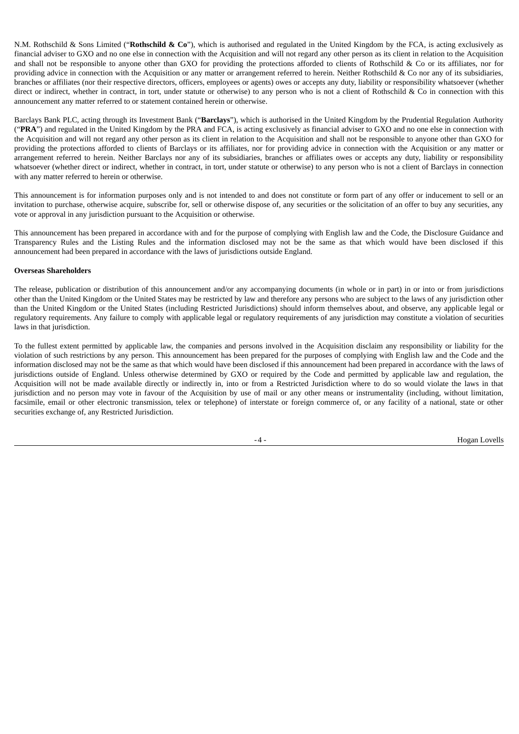N.M. Rothschild & Sons Limited ("**Rothschild & Co**"), which is authorised and regulated in the United Kingdom by the FCA, is acting exclusively as financial adviser to GXO and no one else in connection with the Acquisition and will not regard any other person as its client in relation to the Acquisition and shall not be responsible to anyone other than GXO for providing the protections afforded to clients of Rothschild & Co or its affiliates, nor for providing advice in connection with the Acquisition or any matter or arrangement referred to herein. Neither Rothschild & Co nor any of its subsidiaries, branches or affiliates (nor their respective directors, officers, employees or agents) owes or accepts any duty, liability or responsibility whatsoever (whether direct or indirect, whether in contract, in tort, under statute or otherwise) to any person who is not a client of Rothschild & Co in connection with this announcement any matter referred to or statement contained herein or otherwise.

Barclays Bank PLC, acting through its Investment Bank ("**Barclays**"), which is authorised in the United Kingdom by the Prudential Regulation Authority ("**PRA**") and regulated in the United Kingdom by the PRA and FCA, is acting exclusively as financial adviser to GXO and no one else in connection with the Acquisition and will not regard any other person as its client in relation to the Acquisition and shall not be responsible to anyone other than GXO for providing the protections afforded to clients of Barclays or its affiliates, nor for providing advice in connection with the Acquisition or any matter or arrangement referred to herein. Neither Barclays nor any of its subsidiaries, branches or affiliates owes or accepts any duty, liability or responsibility whatsoever (whether direct or indirect, whether in contract, in tort, under statute or otherwise) to any person who is not a client of Barclays in connection with any matter referred to herein or otherwise.

This announcement is for information purposes only and is not intended to and does not constitute or form part of any offer or inducement to sell or an invitation to purchase, otherwise acquire, subscribe for, sell or otherwise dispose of, any securities or the solicitation of an offer to buy any securities, any vote or approval in any jurisdiction pursuant to the Acquisition or otherwise.

This announcement has been prepared in accordance with and for the purpose of complying with English law and the Code, the Disclosure Guidance and Transparency Rules and the Listing Rules and the information disclosed may not be the same as that which would have been disclosed if this announcement had been prepared in accordance with the laws of jurisdictions outside England.

### **Overseas Shareholders**

The release, publication or distribution of this announcement and/or any accompanying documents (in whole or in part) in or into or from jurisdictions other than the United Kingdom or the United States may be restricted by law and therefore any persons who are subject to the laws of any jurisdiction other than the United Kingdom or the United States (including Restricted Jurisdictions) should inform themselves about, and observe, any applicable legal or regulatory requirements. Any failure to comply with applicable legal or regulatory requirements of any jurisdiction may constitute a violation of securities laws in that jurisdiction.

To the fullest extent permitted by applicable law, the companies and persons involved in the Acquisition disclaim any responsibility or liability for the violation of such restrictions by any person. This announcement has been prepared for the purposes of complying with English law and the Code and the information disclosed may not be the same as that which would have been disclosed if this announcement had been prepared in accordance with the laws of jurisdictions outside of England. Unless otherwise determined by GXO or required by the Code and permitted by applicable law and regulation, the Acquisition will not be made available directly or indirectly in, into or from a Restricted Jurisdiction where to do so would violate the laws in that jurisdiction and no person may vote in favour of the Acquisition by use of mail or any other means or instrumentality (including, without limitation, facsimile, email or other electronic transmission, telex or telephone) of interstate or foreign commerce of, or any facility of a national, state or other securities exchange of, any Restricted Jurisdiction.

-4 - Hogan Lovells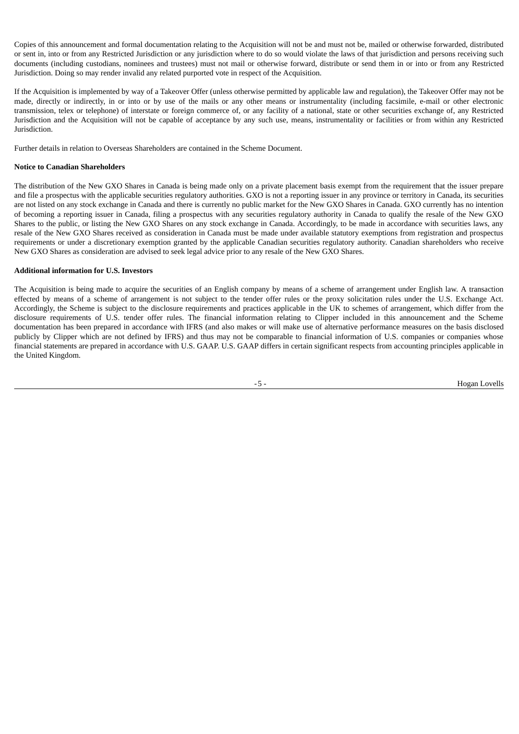Copies of this announcement and formal documentation relating to the Acquisition will not be and must not be, mailed or otherwise forwarded, distributed or sent in, into or from any Restricted Jurisdiction or any jurisdiction where to do so would violate the laws of that jurisdiction and persons receiving such documents (including custodians, nominees and trustees) must not mail or otherwise forward, distribute or send them in or into or from any Restricted Jurisdiction. Doing so may render invalid any related purported vote in respect of the Acquisition.

If the Acquisition is implemented by way of a Takeover Offer (unless otherwise permitted by applicable law and regulation), the Takeover Offer may not be made, directly or indirectly, in or into or by use of the mails or any other means or instrumentality (including facsimile, e-mail or other electronic transmission, telex or telephone) of interstate or foreign commerce of, or any facility of a national, state or other securities exchange of, any Restricted Jurisdiction and the Acquisition will not be capable of acceptance by any such use, means, instrumentality or facilities or from within any Restricted Jurisdiction.

Further details in relation to Overseas Shareholders are contained in the Scheme Document.

# **Notice to Canadian Shareholders**

The distribution of the New GXO Shares in Canada is being made only on a private placement basis exempt from the requirement that the issuer prepare and file a prospectus with the applicable securities regulatory authorities. GXO is not a reporting issuer in any province or territory in Canada, its securities are not listed on any stock exchange in Canada and there is currently no public market for the New GXO Shares in Canada. GXO currently has no intention of becoming a reporting issuer in Canada, filing a prospectus with any securities regulatory authority in Canada to qualify the resale of the New GXO Shares to the public, or listing the New GXO Shares on any stock exchange in Canada. Accordingly, to be made in accordance with securities laws, any resale of the New GXO Shares received as consideration in Canada must be made under available statutory exemptions from registration and prospectus requirements or under a discretionary exemption granted by the applicable Canadian securities regulatory authority. Canadian shareholders who receive New GXO Shares as consideration are advised to seek legal advice prior to any resale of the New GXO Shares.

### **Additional information for U.S. Investors**

The Acquisition is being made to acquire the securities of an English company by means of a scheme of arrangement under English law. A transaction effected by means of a scheme of arrangement is not subject to the tender offer rules or the proxy solicitation rules under the U.S. Exchange Act. Accordingly, the Scheme is subject to the disclosure requirements and practices applicable in the UK to schemes of arrangement, which differ from the disclosure requirements of U.S. tender offer rules. The financial information relating to Clipper included in this announcement and the Scheme documentation has been prepared in accordance with IFRS (and also makes or will make use of alternative performance measures on the basis disclosed publicly by Clipper which are not defined by IFRS) and thus may not be comparable to financial information of U.S. companies or companies whose financial statements are prepared in accordance with U.S. GAAP. U.S. GAAP differs in certain significant respects from accounting principles applicable in the United Kingdom.

-5 - Hogan Lovells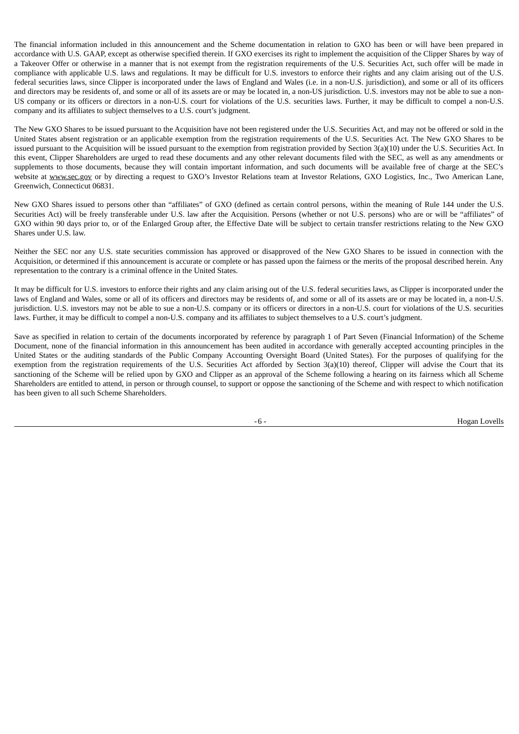The financial information included in this announcement and the Scheme documentation in relation to GXO has been or will have been prepared in accordance with U.S. GAAP, except as otherwise specified therein. If GXO exercises its right to implement the acquisition of the Clipper Shares by way of a Takeover Offer or otherwise in a manner that is not exempt from the registration requirements of the U.S. Securities Act, such offer will be made in compliance with applicable U.S. laws and regulations. It may be difficult for U.S. investors to enforce their rights and any claim arising out of the U.S. federal securities laws, since Clipper is incorporated under the laws of England and Wales (i.e. in a non-U.S. jurisdiction), and some or all of its officers and directors may be residents of, and some or all of its assets are or may be located in, a non-US jurisdiction. U.S. investors may not be able to sue a non-US company or its officers or directors in a non-U.S. court for violations of the U.S. securities laws. Further, it may be difficult to compel a non-U.S. company and its affiliates to subject themselves to a U.S. court's judgment.

The New GXO Shares to be issued pursuant to the Acquisition have not been registered under the U.S. Securities Act, and may not be offered or sold in the United States absent registration or an applicable exemption from the registration requirements of the U.S. Securities Act. The New GXO Shares to be issued pursuant to the Acquisition will be issued pursuant to the exemption from registration provided by Section 3(a)(10) under the U.S. Securities Act. In this event, Clipper Shareholders are urged to read these documents and any other relevant documents filed with the SEC, as well as any amendments or supplements to those documents, because they will contain important information, and such documents will be available free of charge at the SEC's website at www.sec.gov or by directing a request to GXO's Investor Relations team at Investor Relations, GXO Logistics, Inc., Two American Lane, Greenwich, Connecticut 06831.

New GXO Shares issued to persons other than "affiliates" of GXO (defined as certain control persons, within the meaning of Rule 144 under the U.S. Securities Act) will be freely transferable under U.S. law after the Acquisition. Persons (whether or not U.S. persons) who are or will be "affiliates" of GXO within 90 days prior to, or of the Enlarged Group after, the Effective Date will be subject to certain transfer restrictions relating to the New GXO Shares under U.S. law.

Neither the SEC nor any U.S. state securities commission has approved or disapproved of the New GXO Shares to be issued in connection with the Acquisition, or determined if this announcement is accurate or complete or has passed upon the fairness or the merits of the proposal described herein. Any representation to the contrary is a criminal offence in the United States.

It may be difficult for U.S. investors to enforce their rights and any claim arising out of the U.S. federal securities laws, as Clipper is incorporated under the laws of England and Wales, some or all of its officers and directors may be residents of, and some or all of its assets are or may be located in, a non-U.S. jurisdiction. U.S. investors may not be able to sue a non-U.S. company or its officers or directors in a non-U.S. court for violations of the U.S. securities laws. Further, it may be difficult to compel a non-U.S. company and its affiliates to subject themselves to a U.S. court's judgment.

Save as specified in relation to certain of the documents incorporated by reference by paragraph 1 of Part Seven (Financial Information) of the Scheme Document, none of the financial information in this announcement has been audited in accordance with generally accepted accounting principles in the United States or the auditing standards of the Public Company Accounting Oversight Board (United States). For the purposes of qualifying for the exemption from the registration requirements of the U.S. Securities Act afforded by Section 3(a)(10) thereof, Clipper will advise the Court that its sanctioning of the Scheme will be relied upon by GXO and Clipper as an approval of the Scheme following a hearing on its fairness which all Scheme Shareholders are entitled to attend, in person or through counsel, to support or oppose the sanctioning of the Scheme and with respect to which notification has been given to all such Scheme Shareholders.

-6 - The Hogan Lovells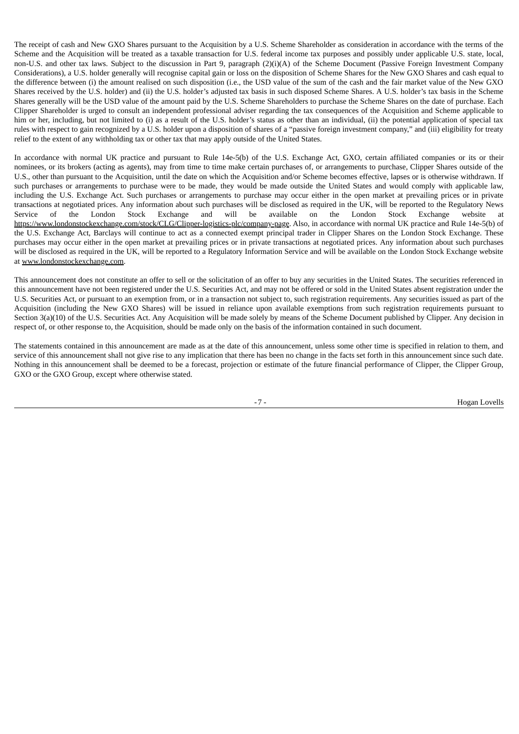The receipt of cash and New GXO Shares pursuant to the Acquisition by a U.S. Scheme Shareholder as consideration in accordance with the terms of the Scheme and the Acquisition will be treated as a taxable transaction for U.S. federal income tax purposes and possibly under applicable U.S. state, local, non-U.S. and other tax laws. Subject to the discussion in Part 9, paragraph (2)(i)(A) of the Scheme Document (Passive Foreign Investment Company Considerations), a U.S. holder generally will recognise capital gain or loss on the disposition of Scheme Shares for the New GXO Shares and cash equal to the difference between (i) the amount realised on such disposition (i.e., the USD value of the sum of the cash and the fair market value of the New GXO Shares received by the U.S. holder) and (ii) the U.S. holder's adjusted tax basis in such disposed Scheme Shares. A U.S. holder's tax basis in the Scheme Shares generally will be the USD value of the amount paid by the U.S. Scheme Shareholders to purchase the Scheme Shares on the date of purchase. Each Clipper Shareholder is urged to consult an independent professional adviser regarding the tax consequences of the Acquisition and Scheme applicable to him or her, including, but not limited to (i) as a result of the U.S. holder's status as other than an individual, (ii) the potential application of special tax rules with respect to gain recognized by a U.S. holder upon a disposition of shares of a "passive foreign investment company," and (iii) eligibility for treaty relief to the extent of any withholding tax or other tax that may apply outside of the United States.

In accordance with normal UK practice and pursuant to Rule 14e-5(b) of the U.S. Exchange Act, GXO, certain affiliated companies or its or their nominees, or its brokers (acting as agents), may from time to time make certain purchases of, or arrangements to purchase, Clipper Shares outside of the U.S., other than pursuant to the Acquisition, until the date on which the Acquisition and/or Scheme becomes effective, lapses or is otherwise withdrawn. If such purchases or arrangements to purchase were to be made, they would be made outside the United States and would comply with applicable law, including the U.S. Exchange Act. Such purchases or arrangements to purchase may occur either in the open market at prevailing prices or in private transactions at negotiated prices. Any information about such purchases will be disclosed as required in the UK, will be reported to the Regulatory News Service of the London Stock Exchange and will be available on the London Stock Exchange website at https://www.londonstockexchange.com/stock/CLG/Clipper-logistics-plc/company-page</u>. Also, in accordance with normal UK practice and Rule 14e-5(b) of the U.S. Exchange Act, Barclays will continue to act as a connected exempt principal trader in Clipper Shares on the London Stock Exchange. These purchases may occur either in the open market at prevailing prices or in private transactions at negotiated prices. Any information about such purchases will be disclosed as required in the UK, will be reported to a Regulatory Information Service and will be available on the London Stock Exchange website at www.londonstockexchange.com.

This announcement does not constitute an offer to sell or the solicitation of an offer to buy any securities in the United States. The securities referenced in this announcement have not been registered under the U.S. Securities Act, and may not be offered or sold in the United States absent registration under the U.S. Securities Act, or pursuant to an exemption from, or in a transaction not subject to, such registration requirements. Any securities issued as part of the Acquisition (including the New GXO Shares) will be issued in reliance upon available exemptions from such registration requirements pursuant to Section 3(a)(10) of the U.S. Securities Act. Any Acquisition will be made solely by means of the Scheme Document published by Clipper. Any decision in respect of, or other response to, the Acquisition, should be made only on the basis of the information contained in such document.

The statements contained in this announcement are made as at the date of this announcement, unless some other time is specified in relation to them, and service of this announcement shall not give rise to any implication that there has been no change in the facts set forth in this announcement since such date. Nothing in this announcement shall be deemed to be a forecast, projection or estimate of the future financial performance of Clipper, the Clipper Group, GXO or the GXO Group, except where otherwise stated.

-7 - Hogan Lovells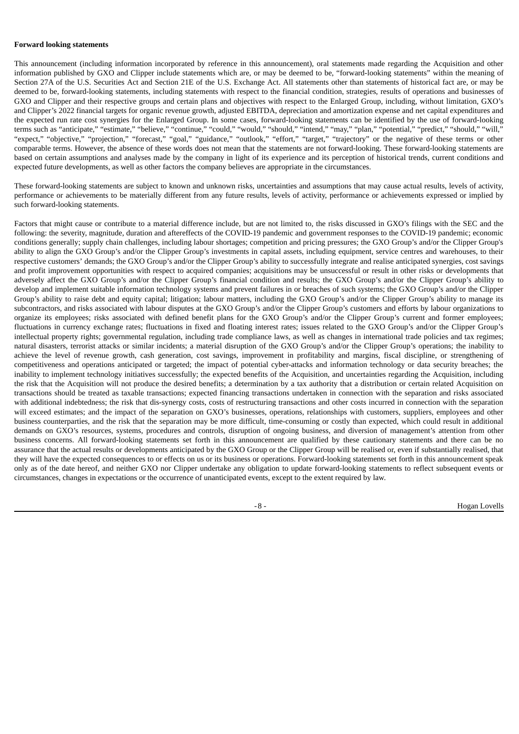### **Forward looking statements**

This announcement (including information incorporated by reference in this announcement), oral statements made regarding the Acquisition and other information published by GXO and Clipper include statements which are, or may be deemed to be, "forward-looking statements" within the meaning of Section 27A of the U.S. Securities Act and Section 21E of the U.S. Exchange Act. All statements other than statements of historical fact are, or may be deemed to be, forward-looking statements, including statements with respect to the financial condition, strategies, results of operations and businesses of GXO and Clipper and their respective groups and certain plans and objectives with respect to the Enlarged Group, including, without limitation, GXO's and Clipper's 2022 financial targets for organic revenue growth, adjusted EBITDA, depreciation and amortization expense and net capital expenditures and the expected run rate cost synergies for the Enlarged Group. In some cases, forward-looking statements can be identified by the use of forward-looking terms such as "anticipate," "estimate," "believe," "continue," "could," "would," "should," "intend," "may," "plan," "potential," "predict," "should," "will," "expect," "objective," "projection," "forecast," "goal," "guidance," "outlook," "effort," "target," "trajectory" or the negative of these terms or other comparable terms. However, the absence of these words does not mean that the statements are not forward-looking. These forward-looking statements are based on certain assumptions and analyses made by the company in light of its experience and its perception of historical trends, current conditions and expected future developments, as well as other factors the company believes are appropriate in the circumstances.

These forward-looking statements are subject to known and unknown risks, uncertainties and assumptions that may cause actual results, levels of activity, performance or achievements to be materially different from any future results, levels of activity, performance or achievements expressed or implied by such forward-looking statements.

Factors that might cause or contribute to a material difference include, but are not limited to, the risks discussed in GXO's filings with the SEC and the following: the severity, magnitude, duration and aftereffects of the COVID-19 pandemic and government responses to the COVID-19 pandemic; economic conditions generally; supply chain challenges, including labour shortages; competition and pricing pressures; the GXO Group's and/or the Clipper Group's ability to align the GXO Group's and/or the Clipper Group's investments in capital assets, including equipment, service centres and warehouses, to their respective customers' demands; the GXO Group's and/or the Clipper Group's ability to successfully integrate and realise anticipated synergies, cost savings and profit improvement opportunities with respect to acquired companies; acquisitions may be unsuccessful or result in other risks or developments that adversely affect the GXO Group's and/or the Clipper Group's financial condition and results; the GXO Group's and/or the Clipper Group's ability to develop and implement suitable information technology systems and prevent failures in or breaches of such systems; the GXO Group's and/or the Clipper Group's ability to raise debt and equity capital; litigation; labour matters, including the GXO Group's and/or the Clipper Group's ability to manage its subcontractors, and risks associated with labour disputes at the GXO Group's and/or the Clipper Group's customers and efforts by labour organizations to organize its employees; risks associated with defined benefit plans for the GXO Group's and/or the Clipper Group's current and former employees; fluctuations in currency exchange rates; fluctuations in fixed and floating interest rates; issues related to the GXO Group's and/or the Clipper Group's intellectual property rights; governmental regulation, including trade compliance laws, as well as changes in international trade policies and tax regimes; natural disasters, terrorist attacks or similar incidents; a material disruption of the GXO Group's and/or the Clipper Group's operations; the inability to achieve the level of revenue growth, cash generation, cost savings, improvement in profitability and margins, fiscal discipline, or strengthening of competitiveness and operations anticipated or targeted; the impact of potential cyber-attacks and information technology or data security breaches; the inability to implement technology initiatives successfully; the expected benefits of the Acquisition, and uncertainties regarding the Acquisition, including the risk that the Acquisition will not produce the desired benefits; a determination by a tax authority that a distribution or certain related Acquisition on transactions should be treated as taxable transactions; expected financing transactions undertaken in connection with the separation and risks associated with additional indebtedness; the risk that dis-synergy costs, costs of restructuring transactions and other costs incurred in connection with the separation will exceed estimates; and the impact of the separation on GXO's businesses, operations, relationships with customers, suppliers, employees and other business counterparties, and the risk that the separation may be more difficult, time-consuming or costly than expected, which could result in additional demands on GXO's resources, systems, procedures and controls, disruption of ongoing business, and diversion of management's attention from other business concerns. All forward-looking statements set forth in this announcement are qualified by these cautionary statements and there can be no assurance that the actual results or developments anticipated by the GXO Group or the Clipper Group will be realised or, even if substantially realised, that they will have the expected consequences to or effects on us or its business or operations. Forward-looking statements set forth in this announcement speak only as of the date hereof, and neither GXO nor Clipper undertake any obligation to update forward-looking statements to reflect subsequent events or circumstances, changes in expectations or the occurrence of unanticipated events, except to the extent required by law.

-8 - The Hogan Lovells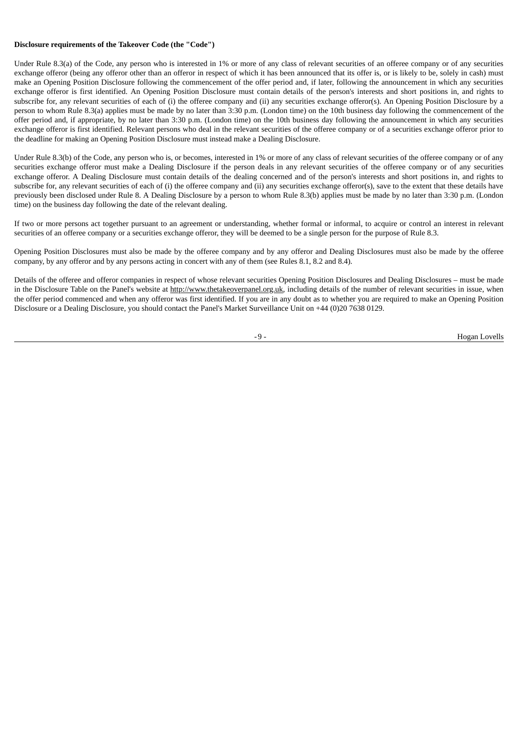### **Disclosure requirements of the Takeover Code (the "Code")**

Under Rule 8.3(a) of the Code, any person who is interested in 1% or more of any class of relevant securities of an offeree company or of any securities exchange offeror (being any offeror other than an offeror in respect of which it has been announced that its offer is, or is likely to be, solely in cash) must make an Opening Position Disclosure following the commencement of the offer period and, if later, following the announcement in which any securities exchange offeror is first identified. An Opening Position Disclosure must contain details of the person's interests and short positions in, and rights to subscribe for, any relevant securities of each of (i) the offeree company and (ii) any securities exchange offeror(s). An Opening Position Disclosure by a person to whom Rule 8.3(a) applies must be made by no later than 3:30 p.m. (London time) on the 10th business day following the commencement of the offer period and, if appropriate, by no later than 3:30 p.m. (London time) on the 10th business day following the announcement in which any securities exchange offeror is first identified. Relevant persons who deal in the relevant securities of the offeree company or of a securities exchange offeror prior to the deadline for making an Opening Position Disclosure must instead make a Dealing Disclosure.

Under Rule 8.3(b) of the Code, any person who is, or becomes, interested in 1% or more of any class of relevant securities of the offeree company or of any securities exchange offeror must make a Dealing Disclosure if the person deals in any relevant securities of the offeree company or of any securities exchange offeror. A Dealing Disclosure must contain details of the dealing concerned and of the person's interests and short positions in, and rights to subscribe for, any relevant securities of each of (i) the offeree company and (ii) any securities exchange offeror(s), save to the extent that these details have previously been disclosed under Rule 8. A Dealing Disclosure by a person to whom Rule 8.3(b) applies must be made by no later than 3:30 p.m. (London time) on the business day following the date of the relevant dealing.

If two or more persons act together pursuant to an agreement or understanding, whether formal or informal, to acquire or control an interest in relevant securities of an offeree company or a securities exchange offeror, they will be deemed to be a single person for the purpose of Rule 8.3.

Opening Position Disclosures must also be made by the offeree company and by any offeror and Dealing Disclosures must also be made by the offeree company, by any offeror and by any persons acting in concert with any of them (see Rules 8.1, 8.2 and 8.4).

Details of the offeree and offeror companies in respect of whose relevant securities Opening Position Disclosures and Dealing Disclosures – must be made in the Disclosure Table on the Panel's website at http://www.thetakeoverpanel.org.uk, including details of the number of relevant securities in issue, when the offer period commenced and when any offeror was first identified. If you are in any doubt as to whether you are required to make an Opening Position Disclosure or a Dealing Disclosure, you should contact the Panel's Market Surveillance Unit on +44 (0)20 7638 0129.

-9 - The Hogan Lovells and the Hogan Lovells